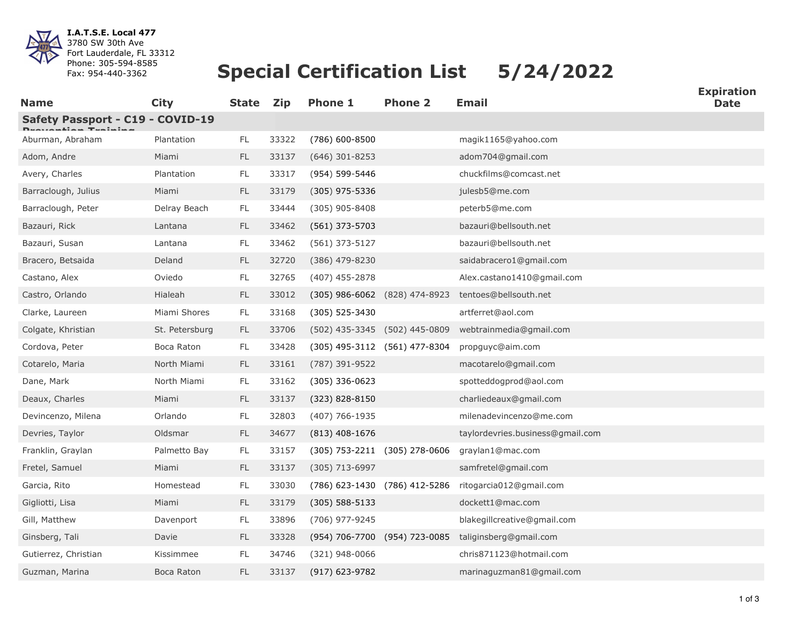

**I.A.T.S.E. Local 477** 3780 SW 30th Ave Fort Lauderdale, FL 33312 Phone: 305-594-8585 Fax: 954-440-3362

## **Special Certification List 5/24/2022**

| <b>Name</b>                      | <b>City</b>    | <b>State</b>  | <b>Zip</b> | <b>Phone 1</b>     | <b>Phone 2</b>                | <b>Email</b>                     | <b>Expiration</b><br><b>Date</b> |
|----------------------------------|----------------|---------------|------------|--------------------|-------------------------------|----------------------------------|----------------------------------|
| Safety Passport - C19 - COVID-19 |                |               |            |                    |                               |                                  |                                  |
| Aburman, Abraham                 | Plantation     | FL.           | 33322      | $(786)$ 600-8500   |                               | magik1165@yahoo.com              |                                  |
| Adom, Andre                      | Miami          | FL.           | 33137      | $(646)$ 301-8253   |                               | adom704@gmail.com                |                                  |
| Avery, Charles                   | Plantation     | $\mathsf{FL}$ | 33317      | (954) 599-5446     |                               | chuckfilms@comcast.net           |                                  |
| Barraclough, Julius              | Miami          | <b>FL</b>     | 33179      | $(305)$ 975-5336   |                               | julesb5@me.com                   |                                  |
| Barraclough, Peter               | Delray Beach   | FL.           | 33444      | $(305)$ 905-8408   |                               | peterb5@me.com                   |                                  |
| Bazauri, Rick                    | Lantana        | FL.           | 33462      | $(561)$ 373-5703   |                               | bazauri@bellsouth.net            |                                  |
| Bazauri, Susan                   | Lantana        | $\mathsf{FL}$ | 33462      | $(561)$ 373-5127   |                               | bazauri@bellsouth.net            |                                  |
| Bracero, Betsaida                | Deland         | FL.           | 32720      | $(386)$ 479-8230   |                               | saidabracero1@gmail.com          |                                  |
| Castano, Alex                    | Oviedo         | <b>FL</b>     | 32765      | $(407)$ 455-2878   |                               | Alex.castano1410@gmail.com       |                                  |
| Castro, Orlando                  | Hialeah        | $\mathsf{FL}$ | 33012      |                    | (305) 986-6062 (828) 474-8923 | tentoes@bellsouth.net            |                                  |
| Clarke, Laureen                  | Miami Shores   | FL.           | 33168      | (305) 525-3430     |                               | artferret@aol.com                |                                  |
| Colgate, Khristian               | St. Petersburg | <b>FL</b>     | 33706      |                    | (502) 435-3345 (502) 445-0809 | webtrainmedia@gmail.com          |                                  |
| Cordova, Peter                   | Boca Raton     | FL            | 33428      |                    | (305) 495-3112 (561) 477-8304 | propguyc@aim.com                 |                                  |
| Cotarelo, Maria                  | North Miami    | FL.           | 33161      | (787) 391-9522     |                               | macotarelo@gmail.com             |                                  |
| Dane, Mark                       | North Miami    | $\mathsf{FL}$ | 33162      | $(305)$ 336-0623   |                               | spotteddogprod@aol.com           |                                  |
| Deaux, Charles                   | Miami          | FL.           | 33137      | (323) 828-8150     |                               | charliedeaux@gmail.com           |                                  |
| Devincenzo, Milena               | Orlando        | $\mathsf{FL}$ | 32803      | $(407)$ 766-1935   |                               | milenadevincenzo@me.com          |                                  |
| Devries, Taylor                  | Oldsmar        | FL.           | 34677      | $(813)$ 408-1676   |                               | taylordevries.business@gmail.com |                                  |
| Franklin, Graylan                | Palmetto Bay   | $\mathsf{FL}$ | 33157      |                    | (305) 753-2211 (305) 278-0606 | graylan1@mac.com                 |                                  |
| Fretel, Samuel                   | Miami          | FL.           | 33137      | $(305)$ 713-6997   |                               | samfretel@gmail.com              |                                  |
| Garcia, Rito                     | Homestead      | FL.           | 33030      |                    | (786) 623-1430 (786) 412-5286 | ritogarcia012@gmail.com          |                                  |
| Gigliotti, Lisa                  | Miami          | $\mathsf{FL}$ | 33179      | $(305) 588 - 5133$ |                               | dockett1@mac.com                 |                                  |
| Gill, Matthew                    | Davenport      | <b>FL</b>     | 33896      | (706) 977-9245     |                               | blakegillcreative@gmail.com      |                                  |
| Ginsberg, Tali                   | Davie          | $\mathsf{FL}$ | 33328      |                    | (954) 706-7700 (954) 723-0085 | taliginsberg@gmail.com           |                                  |
| Gutierrez, Christian             | Kissimmee      | FL.           | 34746      | $(321)$ 948-0066   |                               | chris871123@hotmail.com          |                                  |
| Guzman, Marina                   | Boca Raton     | <b>FL</b>     | 33137      | (917) 623-9782     |                               | marinaguzman81@gmail.com         |                                  |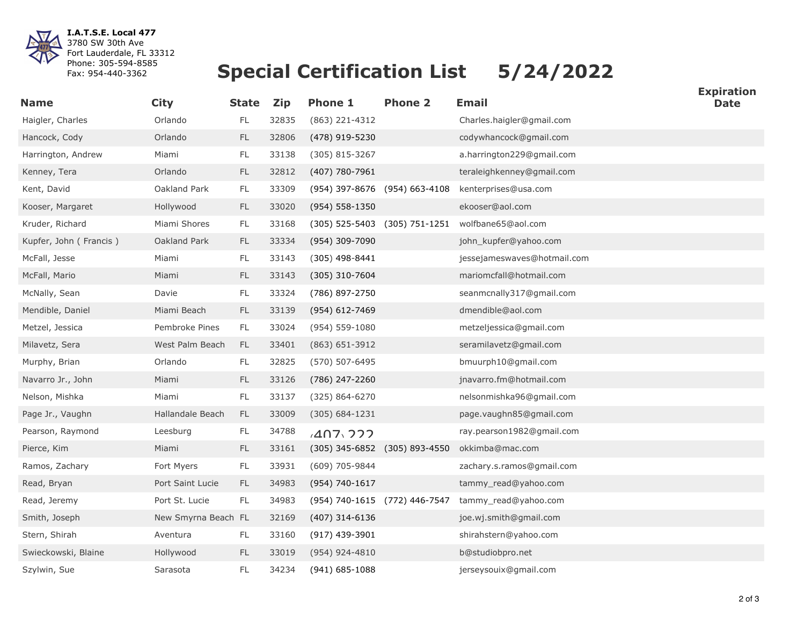

**I.A.T.S.E. Local 477** 3780 SW 30th Ave Fort Lauderdale, FL 33312 Phone: 305-594-8585 Fax: 954-440-3362

## **Special Certification List 5/24/2022**

| <b>Name</b>            | <b>City</b>         | <b>State</b>  | <b>Zip</b> | <b>Phone 1</b>                | <b>Phone 2</b>     | <b>Email</b>                | <b>Expiration</b><br><b>Date</b> |
|------------------------|---------------------|---------------|------------|-------------------------------|--------------------|-----------------------------|----------------------------------|
| Haigler, Charles       | Orlando             | FL            | 32835      | (863) 221-4312                |                    | Charles.haigler@gmail.com   |                                  |
| Hancock, Cody          | Orlando             | <b>FL</b>     | 32806      | (478) 919-5230                |                    | codywhancock@gmail.com      |                                  |
| Harrington, Andrew     | Miami               | FL            | 33138      | $(305)$ 815-3267              |                    | a.harrington229@gmail.com   |                                  |
| Kenney, Tera           | Orlando             | $\mathsf{FL}$ | 32812      | (407) 780-7961                |                    | teraleighkenney@gmail.com   |                                  |
| Kent, David            | Oakland Park        | <b>FL</b>     | 33309      | (954) 397-8676 (954) 663-4108 |                    | kenterprises@usa.com        |                                  |
| Kooser, Margaret       | Hollywood           | $\mathsf{FL}$ | 33020      | $(954) 558 - 1350$            |                    | ekooser@aol.com             |                                  |
| Kruder, Richard        | Miami Shores        | $\mathsf{FL}$ | 33168      | $(305)$ 525-5403              | $(305) 751 - 1251$ | wolfbane65@aol.com          |                                  |
| Kupfer, John (Francis) | Oakland Park        | <b>FL</b>     | 33334      | (954) 309-7090                |                    | john_kupfer@yahoo.com       |                                  |
| McFall, Jesse          | Miami               | FL.           | 33143      | $(305)$ 498-8441              |                    | jessejameswaves@hotmail.com |                                  |
| McFall, Mario          | Miami               | $\mathsf{FL}$ | 33143      | (305) 310-7604                |                    | mariomcfall@hotmail.com     |                                  |
| McNally, Sean          | Davie               | $\mathsf{FL}$ | 33324      | (786) 897-2750                |                    | seanmcnally317@gmail.com    |                                  |
| Mendible, Daniel       | Miami Beach         | <b>FL</b>     | 33139      | (954) 612-7469                |                    | dmendible@aol.com           |                                  |
| Metzel, Jessica        | Pembroke Pines      | <b>FL</b>     | 33024      | (954) 559-1080                |                    | metzeljessica@gmail.com     |                                  |
| Milavetz, Sera         | West Palm Beach     | FL.           | 33401      | $(863) 651 - 3912$            |                    | seramilavetz@gmail.com      |                                  |
| Murphy, Brian          | Orlando             | FL            | 32825      | (570) 507-6495                |                    | bmuurph10@gmail.com         |                                  |
| Navarro Jr., John      | Miami               | $\mathsf{FL}$ | 33126      | (786) 247-2260                |                    | jnavarro.fm@hotmail.com     |                                  |
| Nelson, Mishka         | Miami               | FL.           | 33137      | (325) 864-6270                |                    | nelsonmishka96@gmail.com    |                                  |
| Page Jr., Vaughn       | Hallandale Beach    | FL            | 33009      | $(305) 684 - 1231$            |                    | page.vaughn85@gmail.com     |                                  |
| Pearson, Raymond       | Leesburg            | <b>FL</b>     | 34788      | $A$ $07$ $07$                 |                    | ray.pearson1982@gmail.com   |                                  |
| Pierce, Kim            | Miami               | $\mathsf{FL}$ | 33161      | (305) 345-6852 (305) 893-4550 |                    | okkimba@mac.com             |                                  |
| Ramos, Zachary         | Fort Myers          | FL.           | 33931      | (609) 705-9844                |                    | zachary.s.ramos@gmail.com   |                                  |
| Read, Bryan            | Port Saint Lucie    | <b>FL</b>     | 34983      | (954) 740-1617                |                    | tammy read@yahoo.com        |                                  |
| Read, Jeremy           | Port St. Lucie      | <b>FL</b>     | 34983      | (954) 740-1615 (772) 446-7547 |                    | tammy read@yahoo.com        |                                  |
| Smith, Joseph          | New Smyrna Beach FL |               | 32169      | $(407)$ 314-6136              |                    | joe.wj.smith@gmail.com      |                                  |
| Stern, Shirah          | Aventura            | FL.           | 33160      | (917) 439-3901                |                    | shirahstern@yahoo.com       |                                  |
| Swieckowski, Blaine    | Hollywood           | <b>FL</b>     | 33019      | $(954)$ 924-4810              |                    | b@studiobpro.net            |                                  |
| Szylwin, Sue           | Sarasota            | FL            | 34234      | $(941) 685 - 1088$            |                    | jerseysouix@gmail.com       |                                  |